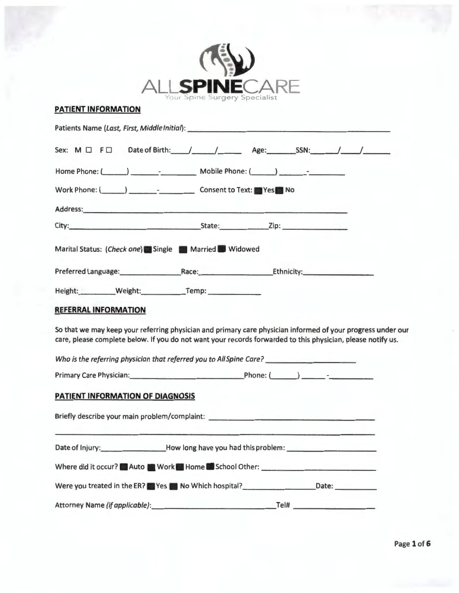| <b>PATIENT INFORMATION</b>                                                                                                                                                                                                     | Your Spine Surgery Specialist |                                                                                                                                  |  |
|--------------------------------------------------------------------------------------------------------------------------------------------------------------------------------------------------------------------------------|-------------------------------|----------------------------------------------------------------------------------------------------------------------------------|--|
| Patients Name (Last, First, Middle Initial): ___________________________________                                                                                                                                               |                               |                                                                                                                                  |  |
|                                                                                                                                                                                                                                |                               |                                                                                                                                  |  |
| Home Phone: ( and Compared Mobile Phone: ( and Compared Mobile Phone: ( and Compared Mobile Phone: ( and Compared Mobile Phone: ( and Compared Mobile Phone: ( and Compared Mobile Phone: ( and Compared Mobile Phone: ( and C |                               |                                                                                                                                  |  |
| Work Phone: ( Consent to Text: Yes No                                                                                                                                                                                          |                               |                                                                                                                                  |  |
|                                                                                                                                                                                                                                |                               |                                                                                                                                  |  |
|                                                                                                                                                                                                                                |                               |                                                                                                                                  |  |
| Marital Status: (Check one) Single Married Widowed                                                                                                                                                                             |                               |                                                                                                                                  |  |
| Preferred Language: Race: Race: Ethnicity:                                                                                                                                                                                     |                               |                                                                                                                                  |  |
| Height: Weight: Temp:                                                                                                                                                                                                          |                               |                                                                                                                                  |  |
| <b>REFERRAL INFORMATION</b>                                                                                                                                                                                                    |                               |                                                                                                                                  |  |
| So that we may keep your referring physician and primary care physician informed of your progress under our<br>care, please complete below. If you do not want your records forwarded to this physician, please notify us.     |                               |                                                                                                                                  |  |
| Who is the referring physician that referred you to All Spine Care?                                                                                                                                                            |                               |                                                                                                                                  |  |
| Primary Care Physician: Phone: (Phone: (Phone: 2008)                                                                                                                                                                           |                               |                                                                                                                                  |  |
| <b>PATIENT INFORMATION OF DIAGNOSIS</b>                                                                                                                                                                                        |                               |                                                                                                                                  |  |
| Briefly describe your main problem/complaint: __________________________________                                                                                                                                               |                               |                                                                                                                                  |  |
| Date of Injury: _____________________How long have you had this problem: ___________________________                                                                                                                           |                               |                                                                                                                                  |  |
| Where did it occur? Auto Work Nome School Other: _______________________________                                                                                                                                               |                               |                                                                                                                                  |  |
|                                                                                                                                                                                                                                |                               |                                                                                                                                  |  |
|                                                                                                                                                                                                                                |                               |                                                                                                                                  |  |
|                                                                                                                                                                                                                                |                               | Were you treated in the ER? Yes No Which hospital?<br>No Which hospital? Mere you treated in the ER? Yes No Which hospital? 2010 |  |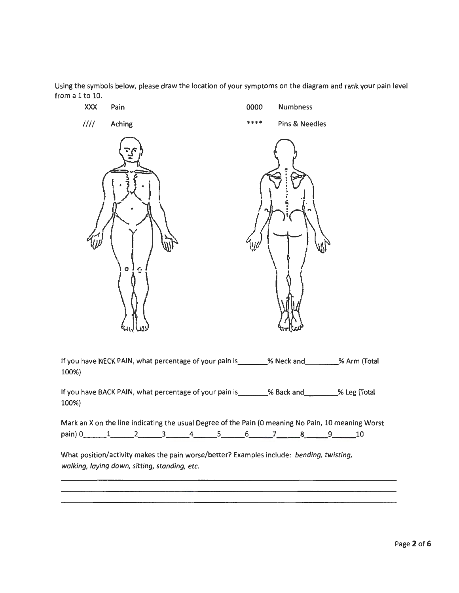Using the symbols below, please draw the location of your symptoms on the diagram and rank your pain level from a 1 to 10.



If you have BACK PAIN, what percentage of your pain is \_\_\_\_\_\_\_ % Back and \_\_\_\_\_\_ % Leg (Total 100%)

Mark an X on the line indicating the usual Degree of the Pain (0 meaning No Pain, 10 meaning Worst pain) 0 \_\_ 1 \_\_ 2 \_\_ 3 \_\_ 4 \_\_ 5 \_\_ 6 \_\_ 7 \_\_ 8 \_\_ 9 \_\_ 10

What position/activity makes the pain worse/better? Examples include: *bending, twisting, walking, laying down, sitting, standing, etc.*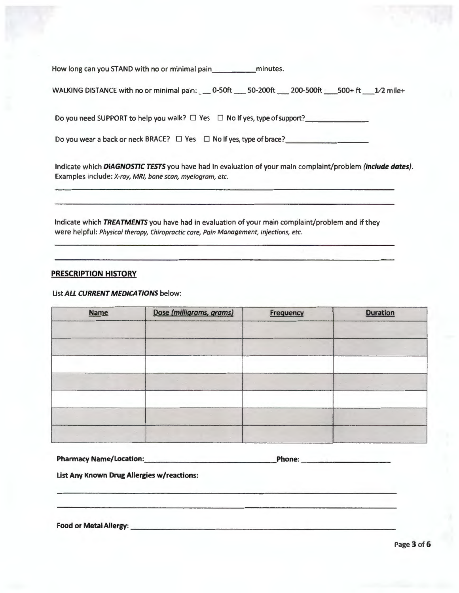How long can you STAND with no or minimal pain \_\_\_\_\_\_\_\_\_\_\_\_ minutes.

| WALKING DISTANCE with no or minimal pain: ___ 0-50ft ___ 50-200ft ___ 200-500ft ___ 500+ ft ___ 1/2 mile+ |  |  |  |
|-----------------------------------------------------------------------------------------------------------|--|--|--|
|                                                                                                           |  |  |  |

Do you need SUPPORT to help you walk? □ Yes □ No If yes, type of support? \_\_\_\_\_\_ \_

Do you wear a back or neck BRACE? □ Yes □ No If yes, type of brace? \_\_\_\_\_\_\_\_\_\_\_\_

Indicate which **DIAGNOSTIC TESTS** you have had in evaluation of your main complaint/problem **(include dates).**  Examples include: X-ray, MRI, bone scan, myelogram, etc.

Indicate which **TREATMENTS** you have had in evaluation of your main complaint/problem and if they were helpful: Physical therapy, Chiropractic care, Pain Management, Injections, etc.

#### **PRESCRIPTION HISTORY**

#### List **ALL CURRENT MEDICATIONS** below:

| <b>Name</b> | Dose (milligrams, grams) | <b>Frequency</b> | <b>Duration</b> |
|-------------|--------------------------|------------------|-----------------|
|             |                          |                  |                 |
|             |                          |                  |                 |
|             |                          |                  |                 |
|             |                          |                  |                 |
|             |                          |                  |                 |
|             |                          |                  |                 |
|             |                          |                  |                 |

| <b>Pharmacy Name/Location:</b> | Phone: |  |
|--------------------------------|--------|--|
|                                |        |  |

**list Any Known Drug Allergies w/reactions:** 

**Food or Metal Allergy: \_\_\_\_\_\_\_\_\_\_\_\_\_\_\_\_\_\_\_\_\_\_\_\_\_\_\_\_\_ \_**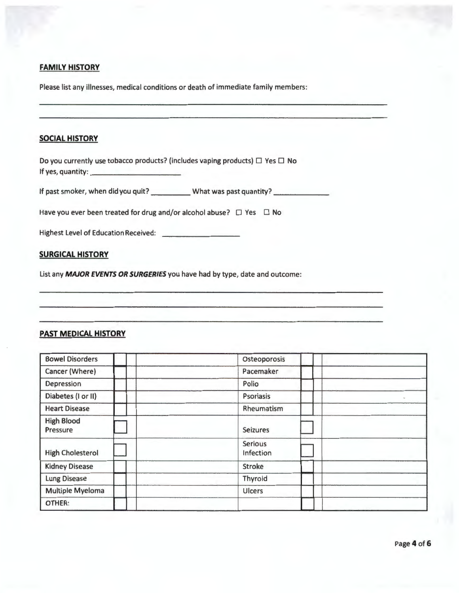# **FAMILY HISTORY**

Please list any illnesses, medical conditions or death of immediate family members:

| <b>SOCIAL HISTORY</b> |
|-----------------------|
|                       |

Do you currently use tobacco products? (includes vaping products)  $\Box$  Yes  $\Box$  No If yes, quantity: \_\_\_\_\_\_\_\_\_ \_

If past smoker, when did you quit? \_\_\_\_\_\_\_\_\_\_\_ What was past quantity? \_\_\_\_\_\_\_\_\_\_

Have you ever been treated for drug and/or alcohol abuse?  $\Box$  Yes  $\Box$  No

Highest Level of Education Received:

# **SURGICAL HISTORY**

List any **MAJOR EVENTS OR SURGERIES** you have had by type, date and outcome:

# **PAST MEDICAL HISTORY**

| <b>Bowel Disorders</b>        | Osteoporosis                |
|-------------------------------|-----------------------------|
| Cancer (Where)                | Pacemaker                   |
| Depression                    | Polio                       |
| Diabetes (I or II)            | <b>Psoriasis</b>            |
| <b>Heart Disease</b>          | Rheumatism                  |
| <b>High Blood</b><br>Pressure | <b>Seizures</b>             |
| <b>High Cholesterol</b>       | <b>Serious</b><br>Infection |
| <b>Kidney Disease</b>         | <b>Stroke</b>               |
| <b>Lung Disease</b>           | Thyroid                     |
| <b>Multiple Myeloma</b>       | <b>Ulcers</b>               |
| OTHER:                        |                             |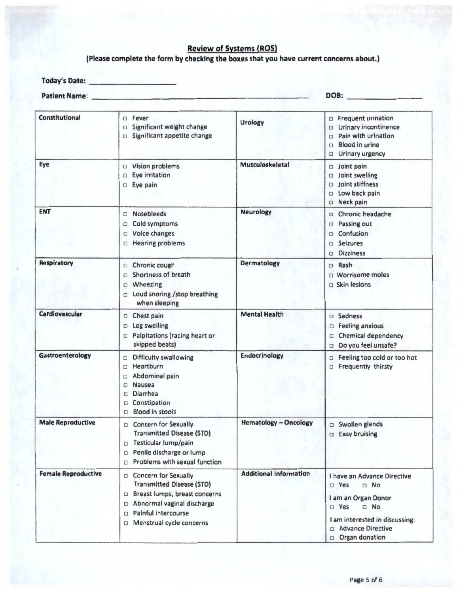# Review of Systems (ROS)

# (Please complete the form by checking the boxes that you have current concerns about.)

**Today's Date:** 

**Patient Name:** \_\_\_\_\_\_\_\_\_\_\_\_\_\_\_\_\_\_\_\_\_\_\_\_ \_ **DOB:** \_\_\_\_\_\_\_ \_

| Constitutional             | Fever<br>Significant weight change<br>$\Box$<br>Significant appetite change<br>$\Box$                                                                                                            | <b>Urology</b>                | Frequent urination<br>□<br>Urinary incontinence<br>□<br>Pain with urination<br>$\Box$<br><b>Blood in urine</b><br>О<br>Urinary urgency<br>□                                                 |
|----------------------------|--------------------------------------------------------------------------------------------------------------------------------------------------------------------------------------------------|-------------------------------|---------------------------------------------------------------------------------------------------------------------------------------------------------------------------------------------|
| Eye                        | D Vision problems<br>Eye irritation<br>O<br>Eye pain<br>$\Box$                                                                                                                                   | Musculoskeletal               | Joint pain<br>О<br>Joint swelling<br>0<br>Joint stiffness<br>$\Box$<br>Low back pain<br>O<br>Neck pain<br>$\Box$                                                                            |
| <b>ENT</b>                 | <b>Nosebleeds</b><br>Cold symptoms<br>□<br>Voice changes<br>$\Box$<br><b>Hearing problems</b><br>$\Box$                                                                                          | <b>Neurology</b>              | Chronic headache<br>Passing out<br>$\Box$<br>Confusion<br>$\Box$<br><b>Seizures</b><br>□<br><b>Dizziness</b><br>$\Box$                                                                      |
| Respiratory                | Chronic cough<br>$\Box$<br>Shortness of breath<br>$\Box$<br>Wheezing<br>$\Box$<br>□ Loud snoring /stop breathing<br>when sleeping                                                                | <b>Dermatology</b>            | D Rash<br>$\Box$ Worrisome moles<br>$\square$ Skin lesions                                                                                                                                  |
| Cardiovascular             | D Chest pain<br>Leg swelling<br>O<br>Palpitations (racing heart or<br>□<br>skipped beats)                                                                                                        | <b>Mental Health</b>          | Sadness<br>$\Box$<br><b>Feeling anxious</b><br><b>Chemical dependency</b><br>□<br>Do you feel unsafe?<br>$\Box$                                                                             |
| Gastroenterology           | Difficulty swallowing<br>O<br>Heartburn<br>□<br>Abdominal pain<br>□<br><b>Nausea</b><br>□<br>Diarrhea<br>□<br>Constipation<br>□<br><b>Blood in stools</b><br>□                                   | <b>Endocrinology</b>          | Feeling too cold or too hot<br>$\Box$<br>Frequently thirsty<br>□                                                                                                                            |
| <b>Male Reproductive</b>   | <b>D</b> Concern for Sexually<br><b>Transmitted Disease (STD)</b><br>Testicular lump/pain<br>□<br><b>D</b> Penile discharge or lump<br>Problems with sexual function<br>O                        | <b>Hematology - Oncology</b>  | Swollen glands<br>$\Box$<br>Easy bruising<br>$\Box$                                                                                                                                         |
| <b>Female Reproductive</b> | D Concern for Sexually<br><b>Transmitted Disease (STD)</b><br>Breast lumps, breast concerns<br>Abnormal vaginal discharge<br>O<br>Painful intercourse<br>$\Box$<br>Menstrual cycle concerns<br>0 | <b>Additional Information</b> | I have an Advance Directive<br>$\n  Yes\n$<br>$\neg$ No<br>I am an Organ Donor<br>$D$ No<br>$\n  Yes\n$<br>I am interested in discussing:<br>□ Advance Directive<br><b>D</b> Organ donation |